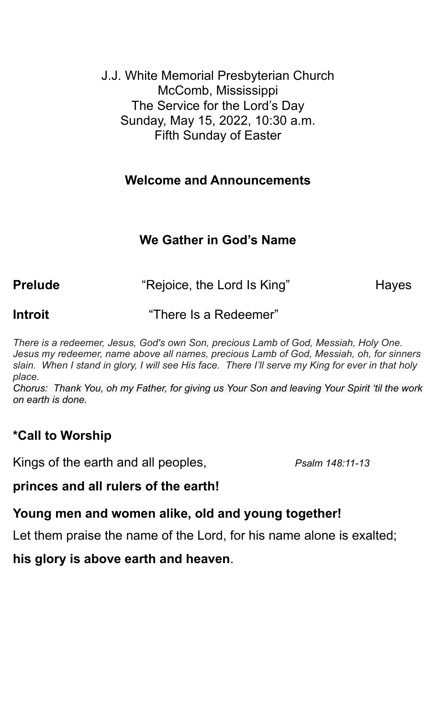J.J. White Memorial Presbyterian Church McComb, Mississippi The Service for the Lord's Day Sunday, May 15, 2022, 10:30 a.m. Fifth Sunday of Easter

### **Welcome and Announcements**

# **We Gather in God's Name**

**Prelude Example 2** "Rejoice, the Lord Is King" The Hayes

**Introit** "There Is a Redeemer"

*There is a redeemer, Jesus, God's own Son, precious Lamb of God, Messiah, Holy One. Jesus my redeemer, name above all names, precious Lamb of God, Messiah, oh, for sinners slain. When I stand in glory, I will see His face. There I'll serve my King for ever in that holy place.*

*Chorus: Thank You, oh my Father, for giving us Your Son and leaving Your Spirit 'til the work on earth is done.*

# **\*Call to Worship**

Kings of the earth and all peoples, *Psalm 148:11-13*

### **princes and all rulers of the earth!**

### **Young men and women alike, old and young together!**

Let them praise the name of the Lord, for his name alone is exalted;

**his glory is above earth and heaven**.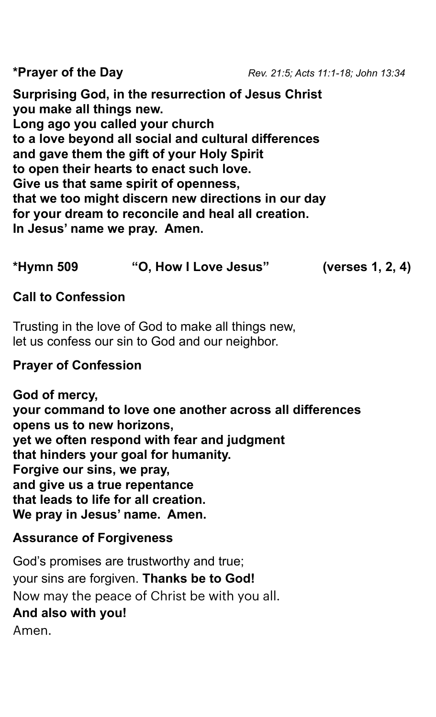**Surprising God, in the resurrection of Jesus Christ you make all things new. Long ago you called your church to a love beyond all social and cultural differences and gave them the gift of your Holy Spirit to open their hearts to enact such love. Give us that same spirit of openness, that we too might discern new directions in our day for your dream to reconcile and heal all creation. In Jesus' name we pray. Amen.**

# **\*Hymn 509 "O, How I Love Jesus" (verses 1, 2, 4)**

### **Call to Confession**

Trusting in the love of God to make all things new, let us confess our sin to God and our neighbor.

### **Prayer of Confession**

**God of mercy, your command to love one another across all differences opens us to new horizons, yet we often respond with fear and judgment that hinders your goal for humanity. Forgive our sins, we pray, and give us a true repentance that leads to life for all creation. We pray in Jesus' name. Amen.**

# **Assurance of Forgiveness**

God's promises are trustworthy and true; your sins are forgiven. **Thanks be to God!** Now may the peace of Christ be with you all. **And also with you!** Amen.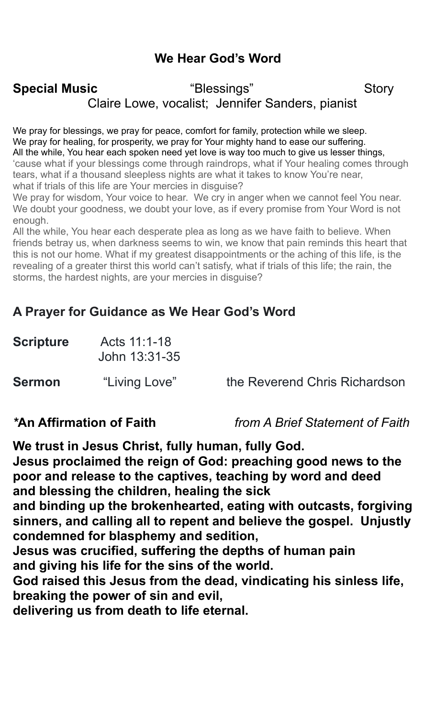# **We Hear God's Word**

# **Special Music**  The "Blessings" Story Claire Lowe, vocalist; Jennifer Sanders, pianist

We pray for blessings, we pray for peace, comfort for family, protection while we sleep. We pray for healing, for prosperity, we pray for Your mighty hand to ease our suffering. All the while, You hear each spoken need yet love is way too much to give us lesser things, 'cause what if your blessings come through raindrops, what if Your healing comes through tears, what if a thousand sleepless nights are what it takes to know You're near, what if trials of this life are Your mercies in disguise?

We pray for wisdom, Your voice to hear. We cry in anger when we cannot feel You near. We doubt your goodness, we doubt your love, as if every promise from Your Word is not enough.

All the while, You hear each desperate plea as long as we have faith to believe. When friends betray us, when darkness seems to win, we know that pain reminds this heart that this is not our home. What if my greatest disappointments or the aching of this life, is the revealing of a greater thirst this world can't satisfy, what if trials of this life; the rain, the storms, the hardest nights, are your mercies in disguise?

### **A Prayer for Guidance as We Hear God's Word**

| <b>Scripture</b> | Acts 11:1-18<br>John 13:31-35 |                               |
|------------------|-------------------------------|-------------------------------|
| <b>Sermon</b>    | "Living Love"                 | the Reverend Chris Richardson |

*\****An Affirmation of Faith** *from A Brief Statement of Faith*

**We trust in Jesus Christ, fully human, fully God. Jesus proclaimed the reign of God: preaching good news to the poor and release to the captives, teaching by word and deed and blessing the children, healing the sick and binding up the brokenhearted, eating with outcasts, forgiving sinners, and calling all to repent and believe the gospel. Unjustly condemned for blasphemy and sedition,**

**Jesus was crucified, suffering the depths of human pain and giving his life for the sins of the world.**

**God raised this Jesus from the dead, vindicating his sinless life, breaking the power of sin and evil,**

**delivering us from death to life eternal.**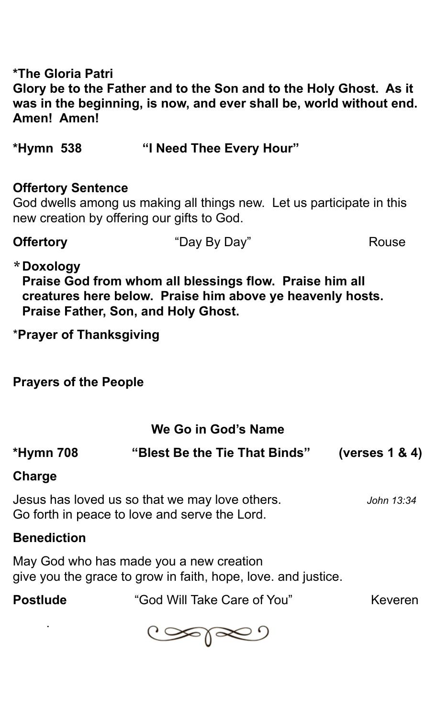**\*The Gloria Patri Glory be to the Father and to the Son and to the Holy Ghost. As it was in the beginning, is now, and ever shall be, world without end. Amen! Amen!** 

**\*Hymn 538 "I Need Thee Every Hour"**

### **Offertory Sentence**

God dwells among us making all things new. Let us participate in this new creation by offering our gifts to God.

**Offertory** "Day By Day" Rouse

### **\*Doxology**

**Praise God from whom all blessings flow. Praise him all creatures here below. Praise him above ye heavenly hosts. Praise Father, Son, and Holy Ghost.**

\***Prayer of Thanksgiving**

**Prayers of the People**

# **We Go in God's Name**

| <b>*Hymn 708</b>                                                                                | "Blest Be the Tie That Binds" | (verses $1 & 4$ ) |
|-------------------------------------------------------------------------------------------------|-------------------------------|-------------------|
| Charge                                                                                          |                               |                   |
| Jesus has loved us so that we may love others.<br>Go forth in peace to love and serve the Lord. | John 13:34                    |                   |

# **Benediction**

.

May God who has made you a new creation give you the grace to grow in faith, hope, love. and justice.

**Postlude • The "God Will Take Care of You" Keveren** 

تحاصي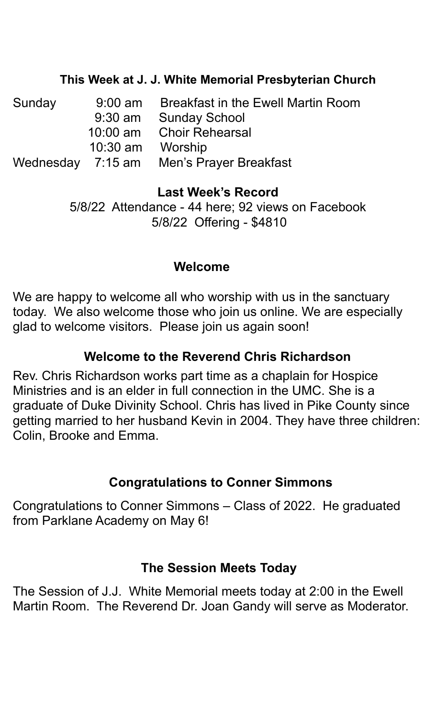### **This Week at J. J. White Memorial Presbyterian Church**

| Sunday | $9:00 \text{ am}$ | <b>Breakfast in the Ewell Martin Room</b> |
|--------|-------------------|-------------------------------------------|
|        |                   | 9:30 am Sunday School                     |
|        |                   | 10:00 am Choir Rehearsal                  |
|        | 10:30 am Worship  |                                           |
|        |                   | Wednesday 7:15 am Men's Prayer Breakfast  |

### **Last Week's Record**

5/8/22 Attendance - 44 here; 92 views on Facebook 5/8/22 Offering - \$4810

### **Welcome**

We are happy to welcome all who worship with us in the sanctuary today. We also welcome those who join us online. We are especially glad to welcome visitors. Please join us again soon!

### **Welcome to the Reverend Chris Richardson**

Rev. Chris Richardson works part time as a chaplain for Hospice Ministries and is an elder in full connection in the UMC. She is a graduate of Duke Divinity School. Chris has lived in Pike County since getting married to her husband Kevin in 2004. They have three children: Colin, Brooke and Emma.

# **Congratulations to Conner Simmons**

Congratulations to Conner Simmons – Class of 2022. He graduated from Parklane Academy on May 6!

### **The Session Meets Today**

The Session of J.J. White Memorial meets today at 2:00 in the Ewell Martin Room. The Reverend Dr. Joan Gandy will serve as Moderator.